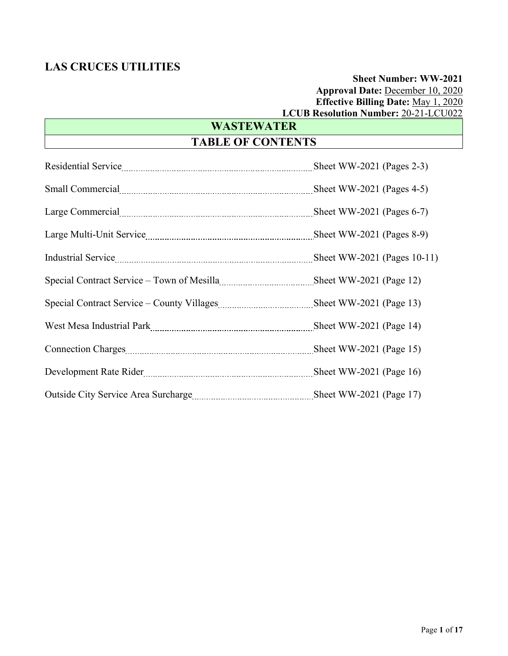# **Sheet Number: WW-2021 Approval Date:** December 10, 2020 **Effective Billing Date:** May 1, 2020 **LCUB Resolution Number:** 20-21-LCU022

# **WASTEWATER**

# **TABLE OF CONTENTS**

| Special Contract Service – Town of Mesilla <u>manumumumumum</u> Sheet WW-2021 (Page 12) |  |
|-----------------------------------------------------------------------------------------|--|
|                                                                                         |  |
| West Mesa Industrial Park [14] West Mesa Industrial Park [14] Sheet WW-2021 (Page 14)   |  |
|                                                                                         |  |
| Development Rate Rider <b>Example 2021</b> (Page 16)                                    |  |
|                                                                                         |  |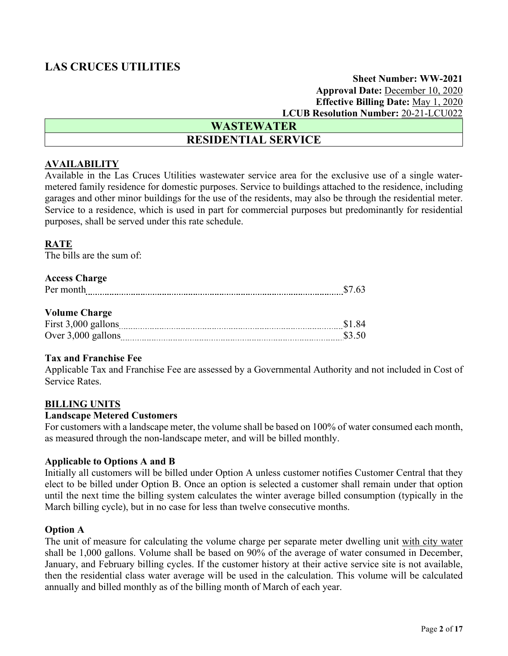### **Sheet Number: WW-2021 Approval Date:** December 10, 2020 **Effective Billing Date:** May 1, 2020 **LCUB Resolution Number:** 20-21-LCU022

# **WASTEWATER RESIDENTIAL SERVICE**

### **AVAILABILITY**

Available in the Las Cruces Utilities wastewater service area for the exclusive use of a single watermetered family residence for domestic purposes. Service to buildings attached to the residence, including garages and other minor buildings for the use of the residents, may also be through the residential meter. Service to a residence, which is used in part for commercial purposes but predominantly for residential purposes, shall be served under this rate schedule.

### **RATE**

The bills are the sum of:

### **Access Charge**

| Per month            | \$7.63 |
|----------------------|--------|
|                      |        |
| <b>Volume Charge</b> |        |
| First 3,000 gallons  | \$1.84 |
| Over $3,000$ gallons | \$3.50 |

### **Tax and Franchise Fee**

Applicable Tax and Franchise Fee are assessed by a Governmental Authority and not included in Cost of Service Rates.

### **BILLING UNITS**

### **Landscape Metered Customers**

For customers with a landscape meter, the volume shall be based on 100% of water consumed each month, as measured through the non-landscape meter, and will be billed monthly.

### **Applicable to Options A and B**

Initially all customers will be billed under Option A unless customer notifies Customer Central that they elect to be billed under Option B. Once an option is selected a customer shall remain under that option until the next time the billing system calculates the winter average billed consumption (typically in the March billing cycle), but in no case for less than twelve consecutive months.

### **Option A**

The unit of measure for calculating the volume charge per separate meter dwelling unit with city water shall be 1,000 gallons. Volume shall be based on 90% of the average of water consumed in December, January, and February billing cycles. If the customer history at their active service site is not available, then the residential class water average will be used in the calculation. This volume will be calculated annually and billed monthly as of the billing month of March of each year.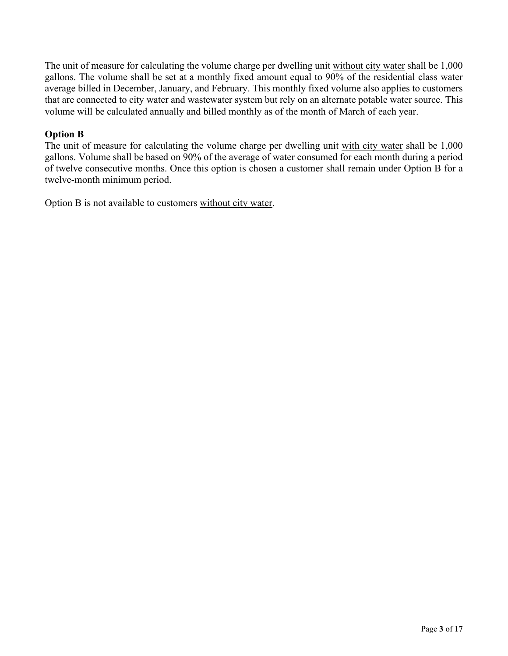The unit of measure for calculating the volume charge per dwelling unit without city water shall be 1,000 gallons. The volume shall be set at a monthly fixed amount equal to 90% of the residential class water average billed in December, January, and February. This monthly fixed volume also applies to customers that are connected to city water and wastewater system but rely on an alternate potable water source. This volume will be calculated annually and billed monthly as of the month of March of each year.

## **Option B**

The unit of measure for calculating the volume charge per dwelling unit with city water shall be 1,000 gallons. Volume shall be based on 90% of the average of water consumed for each month during a period of twelve consecutive months. Once this option is chosen a customer shall remain under Option B for a twelve-month minimum period.

Option B is not available to customers without city water.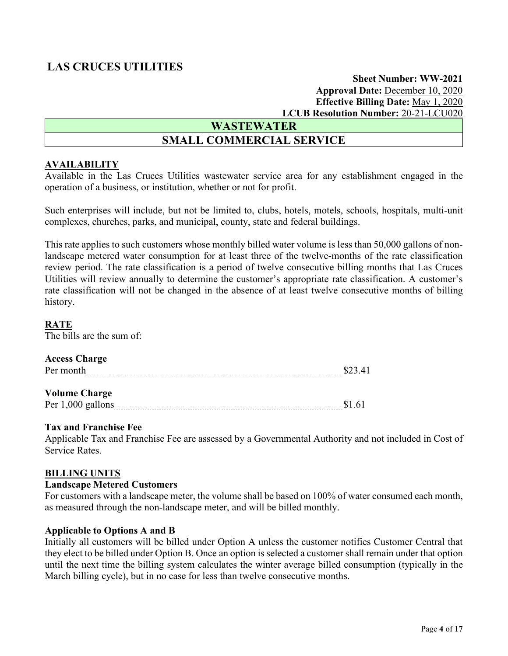**Sheet Number: WW-2021 Approval Date:** December 10, 2020 **Effective Billing Date:** May 1, 2020 **LCUB Resolution Number:** 20-21-LCU020

### **WASTEWATER**

# **SMALL COMMERCIAL SERVICE**

### **AVAILABILITY**

Available in the Las Cruces Utilities wastewater service area for any establishment engaged in the operation of a business, or institution, whether or not for profit.

Such enterprises will include, but not be limited to, clubs, hotels, motels, schools, hospitals, multi-unit complexes, churches, parks, and municipal, county, state and federal buildings.

This rate applies to such customers whose monthly billed water volume is less than 50,000 gallons of nonlandscape metered water consumption for at least three of the twelve-months of the rate classification review period. The rate classification is a period of twelve consecutive billing months that Las Cruces Utilities will review annually to determine the customer's appropriate rate classification. A customer's rate classification will not be changed in the absence of at least twelve consecutive months of billing history.

### **RATE**

The bills are the sum of:

### **Access Charge**

| $\mathbf{r}$ |  |
|--------------|--|
|--------------|--|

### **Volume Charge**

Per 1,000 gallons **\$1.61** 

### **Tax and Franchise Fee**

Applicable Tax and Franchise Fee are assessed by a Governmental Authority and not included in Cost of Service Rates.

### **BILLING UNITS**

### **Landscape Metered Customers**

For customers with a landscape meter, the volume shall be based on 100% of water consumed each month, as measured through the non-landscape meter, and will be billed monthly.

### **Applicable to Options A and B**

Initially all customers will be billed under Option A unless the customer notifies Customer Central that they elect to be billed under Option B. Once an option is selected a customer shall remain under that option until the next time the billing system calculates the winter average billed consumption (typically in the March billing cycle), but in no case for less than twelve consecutive months.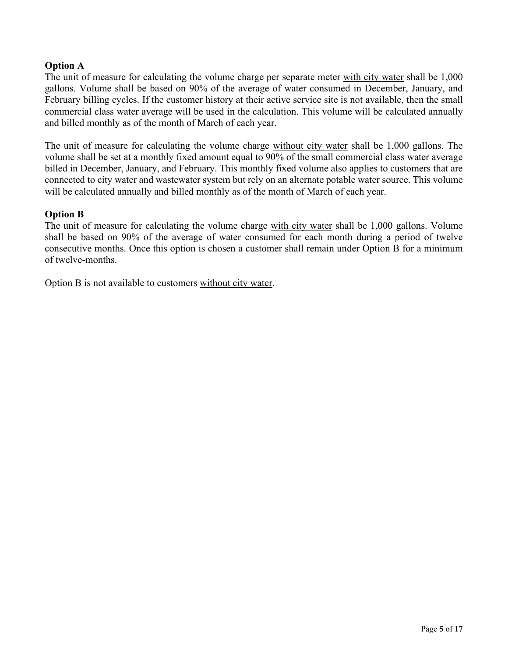### **Option A**

The unit of measure for calculating the volume charge per separate meter with city water shall be 1,000 gallons. Volume shall be based on 90% of the average of water consumed in December, January, and February billing cycles. If the customer history at their active service site is not available, then the small commercial class water average will be used in the calculation. This volume will be calculated annually and billed monthly as of the month of March of each year.

The unit of measure for calculating the volume charge without city water shall be 1,000 gallons. The volume shall be set at a monthly fixed amount equal to 90% of the small commercial class water average billed in December, January, and February. This monthly fixed volume also applies to customers that are connected to city water and wastewater system but rely on an alternate potable water source. This volume will be calculated annually and billed monthly as of the month of March of each year.

### **Option B**

The unit of measure for calculating the volume charge with city water shall be 1,000 gallons. Volume shall be based on 90% of the average of water consumed for each month during a period of twelve consecutive months. Once this option is chosen a customer shall remain under Option B for a minimum of twelve-months.

Option B is not available to customers without city water.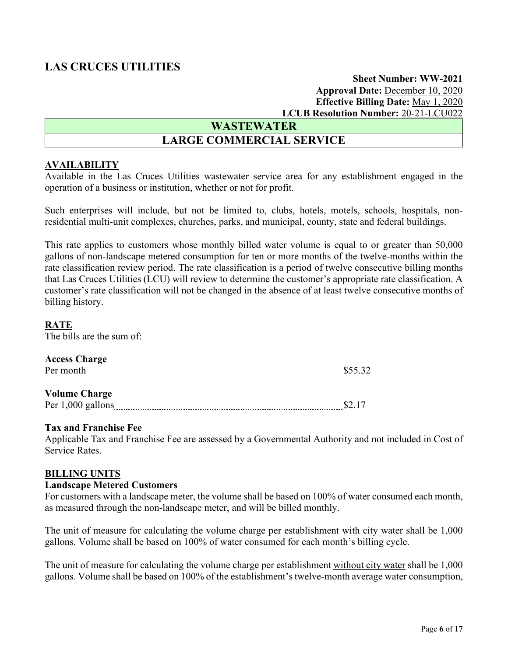**Sheet Number: WW-2021 Approval Date:** December 10, 2020 **Effective Billing Date:** May 1, 2020 **LCUB Resolution Number:** 20-21-LCU022

# **WASTEWATER**

# **LARGE COMMERCIAL SERVICE**

### **AVAILABILITY**

Available in the Las Cruces Utilities wastewater service area for any establishment engaged in the operation of a business or institution, whether or not for profit.

Such enterprises will include, but not be limited to, clubs, hotels, motels, schools, hospitals, nonresidential multi-unit complexes, churches, parks, and municipal, county, state and federal buildings.

This rate applies to customers whose monthly billed water volume is equal to or greater than 50,000 gallons of non-landscape metered consumption for ten or more months of the twelve-months within the rate classification review period. The rate classification is a period of twelve consecutive billing months that Las Cruces Utilities (LCU) will review to determine the customer's appropriate rate classification. A customer's rate classification will not be changed in the absence of at least twelve consecutive months of billing history.

### **RATE**

The bills are the sum of:

### **Access Charge**

| Per month                 | \$55.32  |
|---------------------------|----------|
|                           |          |
| <b>Volume Charge</b><br>. | <u>.</u> |

Per 1,000 gallons 52.17

### **Tax and Franchise Fee**

Applicable Tax and Franchise Fee are assessed by a Governmental Authority and not included in Cost of Service Rates.

### **BILLING UNITS**

### **Landscape Metered Customers**

For customers with a landscape meter, the volume shall be based on 100% of water consumed each month, as measured through the non-landscape meter, and will be billed monthly.

The unit of measure for calculating the volume charge per establishment with city water shall be 1,000 gallons. Volume shall be based on 100% of water consumed for each month's billing cycle.

The unit of measure for calculating the volume charge per establishment without city water shall be 1,000 gallons. Volume shall be based on 100% of the establishment's twelve-month average water consumption,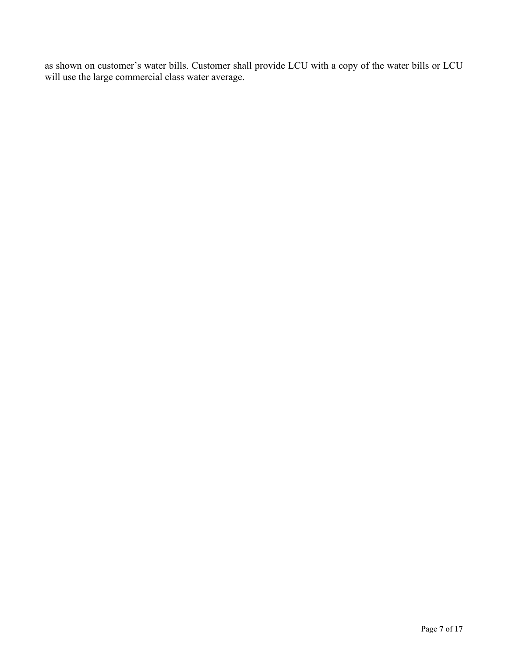as shown on customer's water bills. Customer shall provide LCU with a copy of the water bills or LCU will use the large commercial class water average.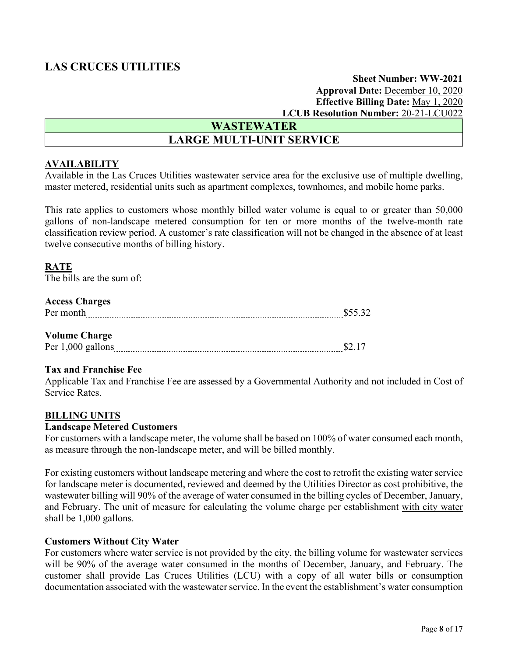### **Sheet Number: WW-2021 Approval Date:** December 10, 2020 **Effective Billing Date:** May 1, 2020 **LCUB Resolution Number:** 20-21-LCU022

# **WASTEWATER LARGE MULTI-UNIT SERVICE**

### **AVAILABILITY**

Available in the Las Cruces Utilities wastewater service area for the exclusive use of multiple dwelling, master metered, residential units such as apartment complexes, townhomes, and mobile home parks.

This rate applies to customers whose monthly billed water volume is equal to or greater than 50,000 gallons of non-landscape metered consumption for ten or more months of the twelve-month rate classification review period. A customer's rate classification will not be changed in the absence of at least twelve consecutive months of billing history.

### **RATE**

The bills are the sum of:

### **Access Charges**

### **Volume Charge**

Per 1,000 gallons \$2.17

### **Tax and Franchise Fee**

Applicable Tax and Franchise Fee are assessed by a Governmental Authority and not included in Cost of Service Rates.

### **BILLING UNITS**

### **Landscape Metered Customers**

For customers with a landscape meter, the volume shall be based on 100% of water consumed each month, as measure through the non-landscape meter, and will be billed monthly.

For existing customers without landscape metering and where the cost to retrofit the existing water service for landscape meter is documented, reviewed and deemed by the Utilities Director as cost prohibitive, the wastewater billing will 90% of the average of water consumed in the billing cycles of December, January, and February. The unit of measure for calculating the volume charge per establishment with city water shall be 1,000 gallons.

### **Customers Without City Water**

For customers where water service is not provided by the city, the billing volume for wastewater services will be 90% of the average water consumed in the months of December, January, and February. The customer shall provide Las Cruces Utilities (LCU) with a copy of all water bills or consumption documentation associated with the wastewater service. In the event the establishment's water consumption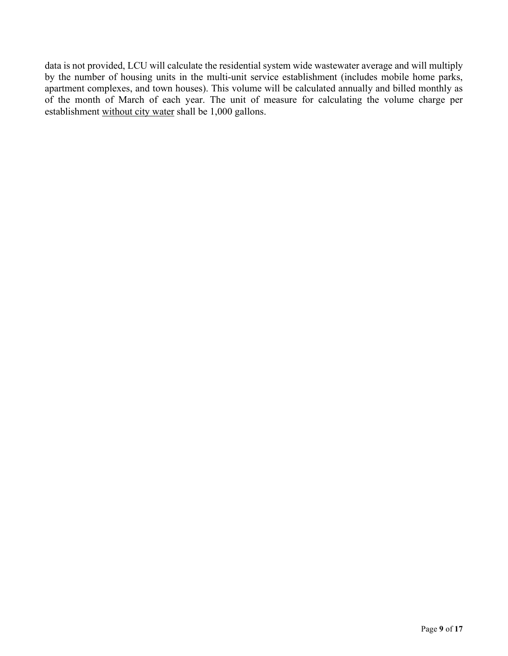data is not provided, LCU will calculate the residential system wide wastewater average and will multiply by the number of housing units in the multi-unit service establishment (includes mobile home parks, apartment complexes, and town houses). This volume will be calculated annually and billed monthly as of the month of March of each year. The unit of measure for calculating the volume charge per establishment without city water shall be 1,000 gallons.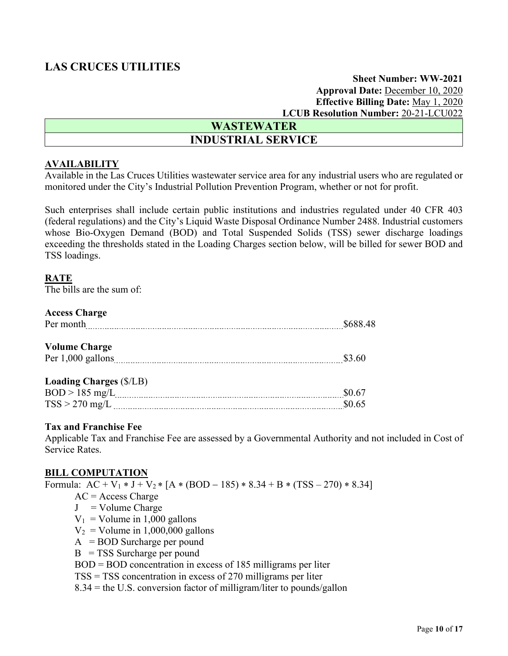### **Sheet Number: WW-2021 Approval Date:** December 10, 2020 **Effective Billing Date:** May 1, 2020 **LCUB Resolution Number:** 20-21-LCU022

| <b>WASTEWATER</b>         |  |
|---------------------------|--|
| <b>INDUSTRIAL SERVICE</b> |  |

### **AVAILABILITY**

Available in the Las Cruces Utilities wastewater service area for any industrial users who are regulated or monitored under the City's Industrial Pollution Prevention Program, whether or not for profit.

Such enterprises shall include certain public institutions and industries regulated under 40 CFR 403 (federal regulations) and the City's Liquid Waste Disposal Ordinance Number 2488. Industrial customers whose Bio-Oxygen Demand (BOD) and Total Suspended Solids (TSS) sewer discharge loadings exceeding the thresholds stated in the Loading Charges section below, will be billed for sewer BOD and TSS loadings.

### **RATE**

The bills are the sum of:

### **Access Charge**

| Per month                      | \$688.48 |
|--------------------------------|----------|
| <b>Volume Charge</b>           |          |
| Per $1,000$ gallons            | \$3.60   |
|                                |          |
| <b>Loading Charges (\$/LB)</b> |          |
| $BOD > 185$ mg/L               | \$0.67   |

# $TSS > 270$  mg/L  $_{\dots}$  \$0.65

#### **Tax and Franchise Fee**

Applicable Tax and Franchise Fee are assessed by a Governmental Authority and not included in Cost of Service Rates.

### **BILL COMPUTATION**

Formula:  $AC + V_1 * J + V_2 * [A * (BOD - 185) * 8.34 + B * (TSS - 270) * 8.34]$  $AC = Access Charge$  $J = Volume Charge$  $V_1$  = Volume in 1,000 gallons  $V_2$  = Volume in 1,000,000 gallons  $A = BOD$  Surcharge per pound  $B = TSS$  Surcharge per pound

BOD = BOD concentration in excess of 185 milligrams per liter

TSS = TSS concentration in excess of 270 milligrams per liter

8.34 = the U.S. conversion factor of milligram/liter to pounds/gallon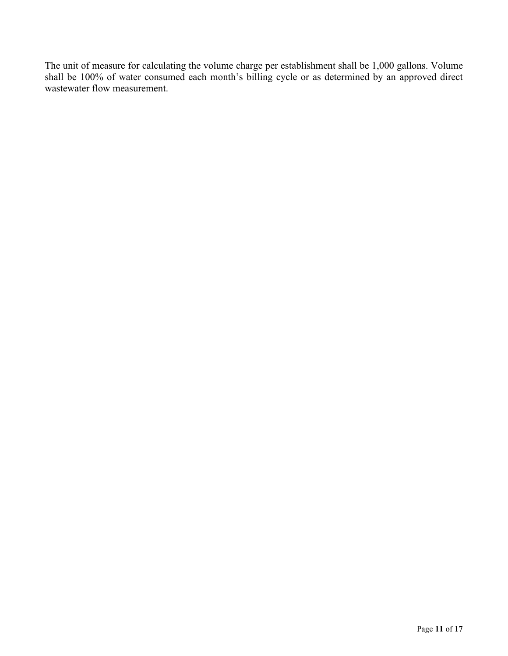The unit of measure for calculating the volume charge per establishment shall be 1,000 gallons. Volume shall be 100% of water consumed each month's billing cycle or as determined by an approved direct wastewater flow measurement.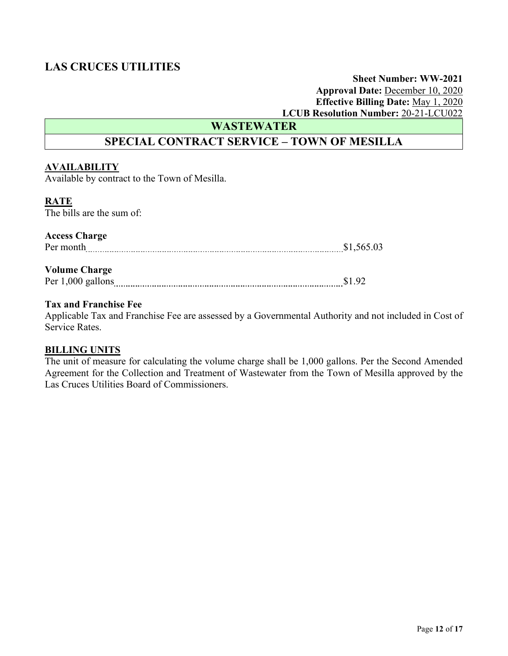## **Sheet Number: WW-2021 Approval Date:** December 10, 2020 **Effective Billing Date:** May 1, 2020 **LCUB Resolution Number:** 20-21-LCU022

**WASTEWATER**

# **SPECIAL CONTRACT SERVICE – TOWN OF MESILLA**

### **AVAILABILITY**

Available by contract to the Town of Mesilla.

### **RATE**

The bills are the sum of:

### **Access Charge**

Per month **\$1,565.03** 

### **Volume Charge**

Per 1,000 gallons **Example 2018** 1.92

### **Tax and Franchise Fee**

Applicable Tax and Franchise Fee are assessed by a Governmental Authority and not included in Cost of Service Rates.

### **BILLING UNITS**

The unit of measure for calculating the volume charge shall be 1,000 gallons. Per the Second Amended Agreement for the Collection and Treatment of Wastewater from the Town of Mesilla approved by the Las Cruces Utilities Board of Commissioners.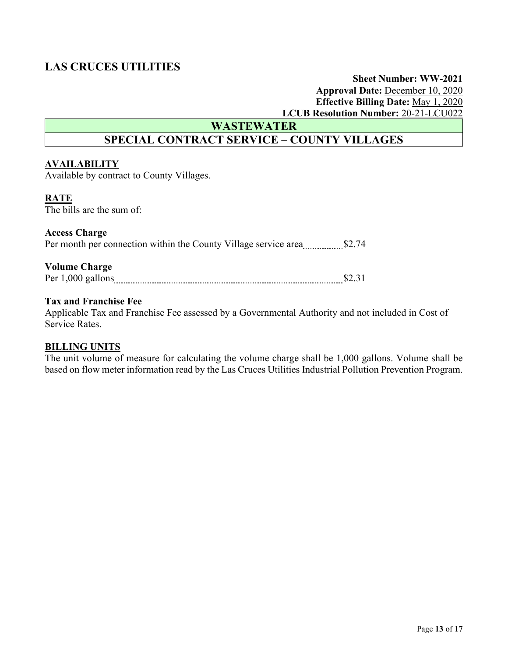### **Sheet Number: WW-2021 Approval Date:** December 10, 2020 **Effective Billing Date:** May 1, 2020 **LCUB Resolution Number:** 20-21-LCU022

**WASTEWATER**

# **SPECIAL CONTRACT SERVICE – COUNTY VILLAGES**

### **AVAILABILITY**

Available by contract to County Villages.

### **RATE**

The bills are the sum of:

### **Access Charge**

Per month per connection within the County Village service area \$2.74

#### **Volume Charge**

| Ð |  |  |
|---|--|--|
|   |  |  |

### **Tax and Franchise Fee**

Applicable Tax and Franchise Fee assessed by a Governmental Authority and not included in Cost of Service Rates.

### **BILLING UNITS**

The unit volume of measure for calculating the volume charge shall be 1,000 gallons. Volume shall be based on flow meter information read by the Las Cruces Utilities Industrial Pollution Prevention Program.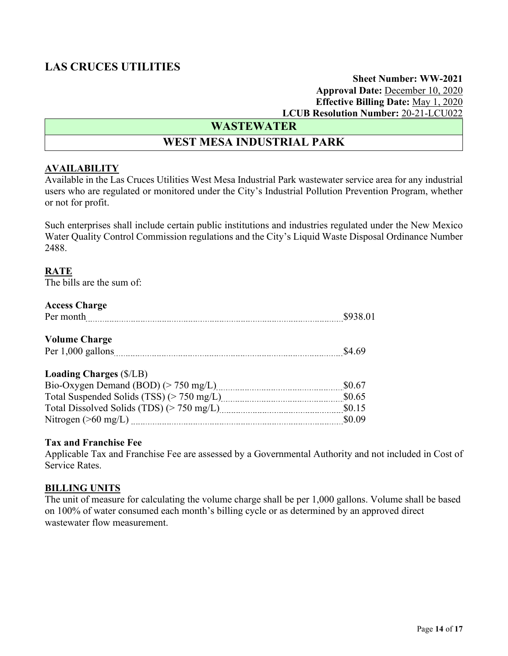### **Sheet Number: WW-2021 Approval Date:** December 10, 2020 **Effective Billing Date:** May 1, 2020 **LCUB Resolution Number:** 20-21-LCU022

# **WASTEWATER**

# **WEST MESA INDUSTRIAL PARK**

### **AVAILABILITY**

Available in the Las Cruces Utilities West Mesa Industrial Park wastewater service area for any industrial users who are regulated or monitored under the City's Industrial Pollution Prevention Program, whether or not for profit.

Such enterprises shall include certain public institutions and industries regulated under the New Mexico Water Quality Control Commission regulations and the City's Liquid Waste Disposal Ordinance Number 2488.

### **RATE**

The bills are the sum of:

### **Access Charge**

| Per month                                          | \$938.01 |
|----------------------------------------------------|----------|
| <b>Volume Charge</b>                               |          |
| Per 1,000 gallons                                  | \$4.69   |
| <b>Loading Charges (\$/LB)</b>                     |          |
| $\Gamma$ . Owner Demand (DOD) ( $\sim$ 750 mol. I) | 0.67     |

|                        | \$0.67 |
|------------------------|--------|
|                        | \$0.65 |
|                        | \$0.15 |
| Nitrogen ( $>60$ mg/L) | \$0.09 |
|                        |        |

### **Tax and Franchise Fee**

Applicable Tax and Franchise Fee are assessed by a Governmental Authority and not included in Cost of Service Rates.

### **BILLING UNITS**

The unit of measure for calculating the volume charge shall be per 1,000 gallons. Volume shall be based on 100% of water consumed each month's billing cycle or as determined by an approved direct wastewater flow measurement.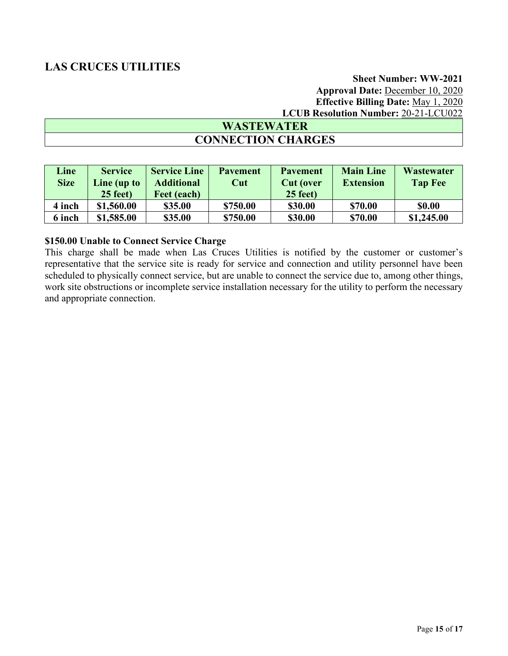# **Sheet Number: WW-2021 Approval Date:** December 10, 2020 **Effective Billing Date:** May 1, 2020 **LCUB Resolution Number:** 20-21-LCU022

# **WASTEWATER CONNECTION CHARGES**

| Line<br><b>Size</b> | <b>Service</b><br>Line (up to | <b>Service Line</b><br><b>Additional</b> | <b>Pavement</b><br>Cut | <b>Pavement</b><br><b>Cut</b> (over | <b>Main Line</b><br><b>Extension</b> | <b>Wastewater</b><br><b>Tap Fee</b> |
|---------------------|-------------------------------|------------------------------------------|------------------------|-------------------------------------|--------------------------------------|-------------------------------------|
|                     | $25$ feet)                    | Feet (each)                              |                        | $25$ feet)                          |                                      |                                     |
| 4 inch              | \$1,560.00                    | \$35.00                                  | \$750.00               | \$30.00                             | \$70.00                              | <b>SO.00</b>                        |
| 6 inch              | \$1,585.00                    | \$35.00                                  | \$750.00               | \$30.00                             | \$70.00                              | \$1,245.00                          |

### **\$150.00 Unable to Connect Service Charge**

This charge shall be made when Las Cruces Utilities is notified by the customer or customer's representative that the service site is ready for service and connection and utility personnel have been scheduled to physically connect service, but are unable to connect the service due to, among other things, work site obstructions or incomplete service installation necessary for the utility to perform the necessary and appropriate connection.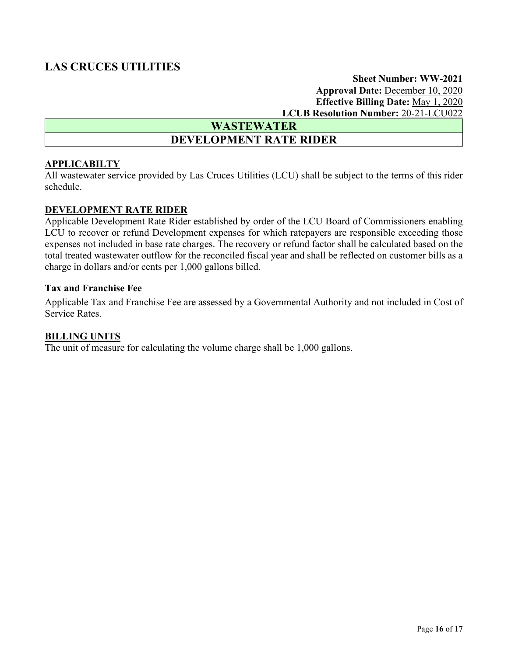**Sheet Number: WW-2021 Approval Date:** December 10, 2020 **Effective Billing Date:** May 1, 2020 **LCUB Resolution Number:** 20-21-LCU022

**WASTEWATER DEVELOPMENT RATE RIDER** 

### **APPLICABILTY**

All wastewater service provided by Las Cruces Utilities (LCU) shall be subject to the terms of this rider schedule.

### **DEVELOPMENT RATE RIDER**

Applicable Development Rate Rider established by order of the LCU Board of Commissioners enabling LCU to recover or refund Development expenses for which ratepayers are responsible exceeding those expenses not included in base rate charges. The recovery or refund factor shall be calculated based on the total treated wastewater outflow for the reconciled fiscal year and shall be reflected on customer bills as a charge in dollars and/or cents per 1,000 gallons billed.

### **Tax and Franchise Fee**

Applicable Tax and Franchise Fee are assessed by a Governmental Authority and not included in Cost of Service Rates.

### **BILLING UNITS**

The unit of measure for calculating the volume charge shall be 1,000 gallons.